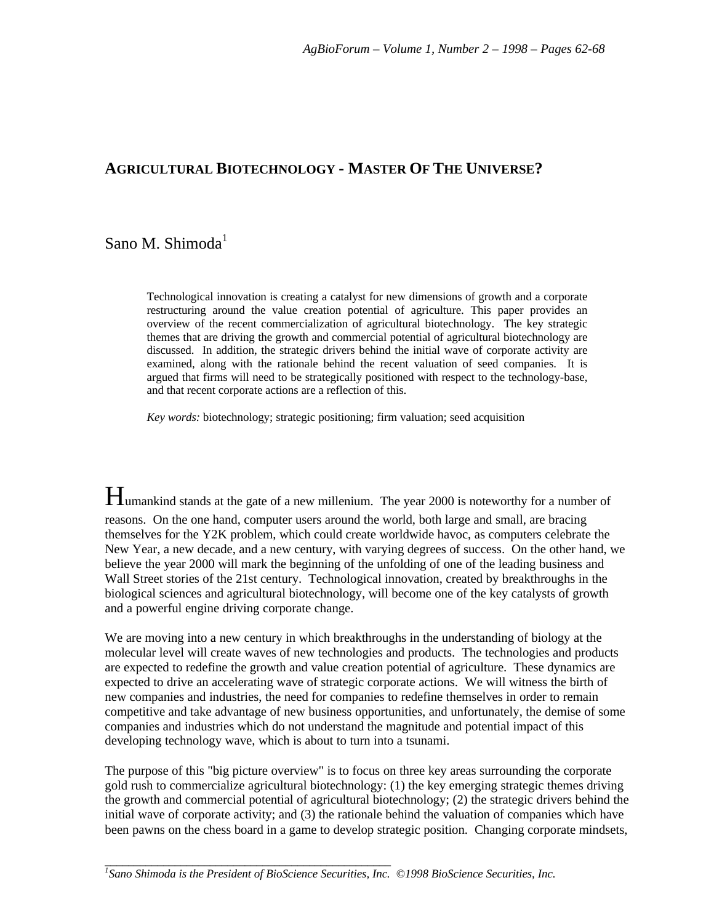# **AGRICULTURAL BIOTECHNOLOGY - MASTER OF THE UNIVERSE?**

# Sano M. Shimoda $<sup>1</sup>$ </sup>

Technological innovation is creating a catalyst for new dimensions of growth and a corporate restructuring around the value creation potential of agriculture. This paper provides an overview of the recent commercialization of agricultural biotechnology. The key strategic themes that are driving the growth and commercial potential of agricultural biotechnology are discussed. In addition, the strategic drivers behind the initial wave of corporate activity are examined, along with the rationale behind the recent valuation of seed companies. It is argued that firms will need to be strategically positioned with respect to the technology-base, and that recent corporate actions are a reflection of this.

*Key words:* biotechnology; strategic positioning; firm valuation; seed acquisition

Humankind stands at the gate of a new millenium. The year 2000 is noteworthy for a number of reasons. On the one hand, computer users around the world, both large and small, are bracing themselves for the Y2K problem, which could create worldwide havoc, as computers celebrate the New Year, a new decade, and a new century, with varying degrees of success. On the other hand, we believe the year 2000 will mark the beginning of the unfolding of one of the leading business and Wall Street stories of the 21st century. Technological innovation, created by breakthroughs in the biological sciences and agricultural biotechnology, will become one of the key catalysts of growth and a powerful engine driving corporate change.

We are moving into a new century in which breakthroughs in the understanding of biology at the molecular level will create waves of new technologies and products. The technologies and products are expected to redefine the growth and value creation potential of agriculture. These dynamics are expected to drive an accelerating wave of strategic corporate actions. We will witness the birth of new companies and industries, the need for companies to redefine themselves in order to remain competitive and take advantage of new business opportunities, and unfortunately, the demise of some companies and industries which do not understand the magnitude and potential impact of this developing technology wave, which is about to turn into a tsunami.

The purpose of this "big picture overview" is to focus on three key areas surrounding the corporate gold rush to commercialize agricultural biotechnology: (1) the key emerging strategic themes driving the growth and commercial potential of agricultural biotechnology; (2) the strategic drivers behind the initial wave of corporate activity; and (3) the rationale behind the valuation of companies which have been pawns on the chess board in a game to develop strategic position. Changing corporate mindsets,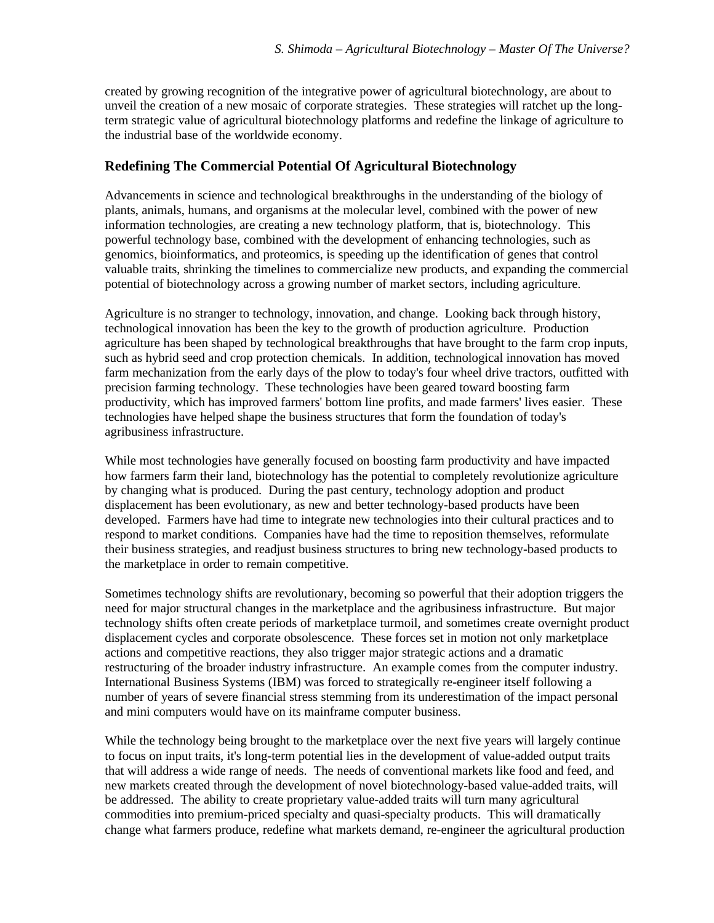created by growing recognition of the integrative power of agricultural biotechnology, are about to unveil the creation of a new mosaic of corporate strategies. These strategies will ratchet up the longterm strategic value of agricultural biotechnology platforms and redefine the linkage of agriculture to the industrial base of the worldwide economy.

## **Redefining The Commercial Potential Of Agricultural Biotechnology**

Advancements in science and technological breakthroughs in the understanding of the biology of plants, animals, humans, and organisms at the molecular level, combined with the power of new information technologies, are creating a new technology platform, that is, biotechnology. This powerful technology base, combined with the development of enhancing technologies, such as genomics, bioinformatics, and proteomics, is speeding up the identification of genes that control valuable traits, shrinking the timelines to commercialize new products, and expanding the commercial potential of biotechnology across a growing number of market sectors, including agriculture.

Agriculture is no stranger to technology, innovation, and change. Looking back through history, technological innovation has been the key to the growth of production agriculture. Production agriculture has been shaped by technological breakthroughs that have brought to the farm crop inputs, such as hybrid seed and crop protection chemicals. In addition, technological innovation has moved farm mechanization from the early days of the plow to today's four wheel drive tractors, outfitted with precision farming technology. These technologies have been geared toward boosting farm productivity, which has improved farmers' bottom line profits, and made farmers' lives easier. These technologies have helped shape the business structures that form the foundation of today's agribusiness infrastructure.

While most technologies have generally focused on boosting farm productivity and have impacted how farmers farm their land, biotechnology has the potential to completely revolutionize agriculture by changing what is produced. During the past century, technology adoption and product displacement has been evolutionary, as new and better technology-based products have been developed. Farmers have had time to integrate new technologies into their cultural practices and to respond to market conditions. Companies have had the time to reposition themselves, reformulate their business strategies, and readjust business structures to bring new technology-based products to the marketplace in order to remain competitive.

Sometimes technology shifts are revolutionary, becoming so powerful that their adoption triggers the need for major structural changes in the marketplace and the agribusiness infrastructure. But major technology shifts often create periods of marketplace turmoil, and sometimes create overnight product displacement cycles and corporate obsolescence. These forces set in motion not only marketplace actions and competitive reactions, they also trigger major strategic actions and a dramatic restructuring of the broader industry infrastructure. An example comes from the computer industry. International Business Systems (IBM) was forced to strategically re-engineer itself following a number of years of severe financial stress stemming from its underestimation of the impact personal and mini computers would have on its mainframe computer business.

While the technology being brought to the marketplace over the next five years will largely continue to focus on input traits, it's long-term potential lies in the development of value-added output traits that will address a wide range of needs. The needs of conventional markets like food and feed, and new markets created through the development of novel biotechnology-based value-added traits, will be addressed. The ability to create proprietary value-added traits will turn many agricultural commodities into premium-priced specialty and quasi-specialty products. This will dramatically change what farmers produce, redefine what markets demand, re-engineer the agricultural production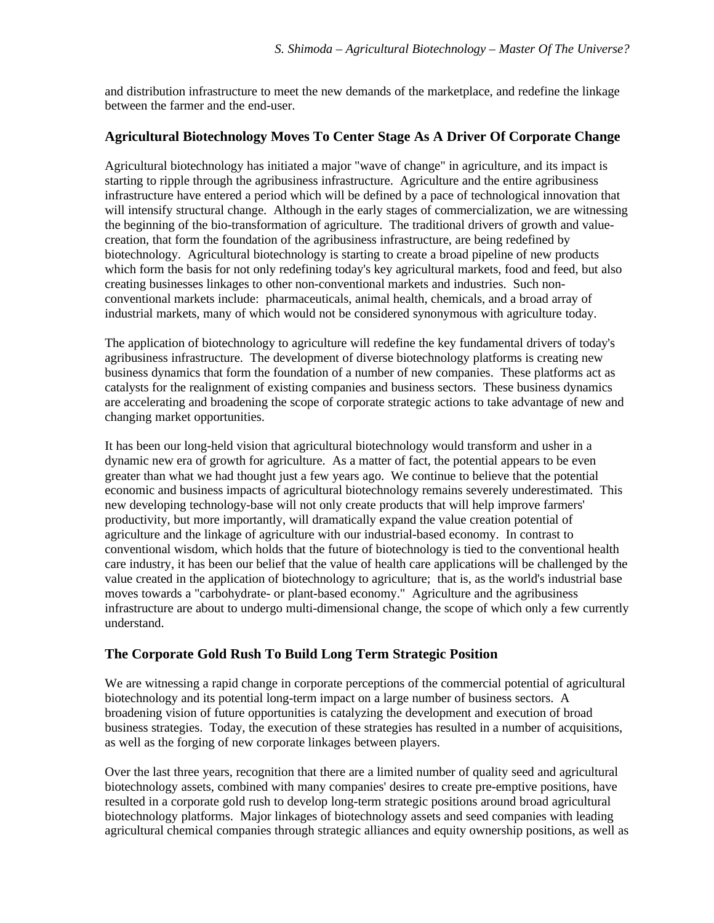and distribution infrastructure to meet the new demands of the marketplace, and redefine the linkage between the farmer and the end-user.

# **Agricultural Biotechnology Moves To Center Stage As A Driver Of Corporate Change**

Agricultural biotechnology has initiated a major "wave of change" in agriculture, and its impact is starting to ripple through the agribusiness infrastructure. Agriculture and the entire agribusiness infrastructure have entered a period which will be defined by a pace of technological innovation that will intensify structural change. Although in the early stages of commercialization, we are witnessing the beginning of the bio-transformation of agriculture. The traditional drivers of growth and valuecreation, that form the foundation of the agribusiness infrastructure, are being redefined by biotechnology. Agricultural biotechnology is starting to create a broad pipeline of new products which form the basis for not only redefining today's key agricultural markets, food and feed, but also creating businesses linkages to other non-conventional markets and industries. Such nonconventional markets include: pharmaceuticals, animal health, chemicals, and a broad array of industrial markets, many of which would not be considered synonymous with agriculture today.

The application of biotechnology to agriculture will redefine the key fundamental drivers of today's agribusiness infrastructure. The development of diverse biotechnology platforms is creating new business dynamics that form the foundation of a number of new companies. These platforms act as catalysts for the realignment of existing companies and business sectors. These business dynamics are accelerating and broadening the scope of corporate strategic actions to take advantage of new and changing market opportunities.

It has been our long-held vision that agricultural biotechnology would transform and usher in a dynamic new era of growth for agriculture. As a matter of fact, the potential appears to be even greater than what we had thought just a few years ago. We continue to believe that the potential economic and business impacts of agricultural biotechnology remains severely underestimated. This new developing technology-base will not only create products that will help improve farmers' productivity, but more importantly, will dramatically expand the value creation potential of agriculture and the linkage of agriculture with our industrial-based economy. In contrast to conventional wisdom, which holds that the future of biotechnology is tied to the conventional health care industry, it has been our belief that the value of health care applications will be challenged by the value created in the application of biotechnology to agriculture; that is, as the world's industrial base moves towards a "carbohydrate- or plant-based economy." Agriculture and the agribusiness infrastructure are about to undergo multi-dimensional change, the scope of which only a few currently understand.

# **The Corporate Gold Rush To Build Long Term Strategic Position**

We are witnessing a rapid change in corporate perceptions of the commercial potential of agricultural biotechnology and its potential long-term impact on a large number of business sectors. A broadening vision of future opportunities is catalyzing the development and execution of broad business strategies. Today, the execution of these strategies has resulted in a number of acquisitions, as well as the forging of new corporate linkages between players.

Over the last three years, recognition that there are a limited number of quality seed and agricultural biotechnology assets, combined with many companies' desires to create pre-emptive positions, have resulted in a corporate gold rush to develop long-term strategic positions around broad agricultural biotechnology platforms. Major linkages of biotechnology assets and seed companies with leading agricultural chemical companies through strategic alliances and equity ownership positions, as well as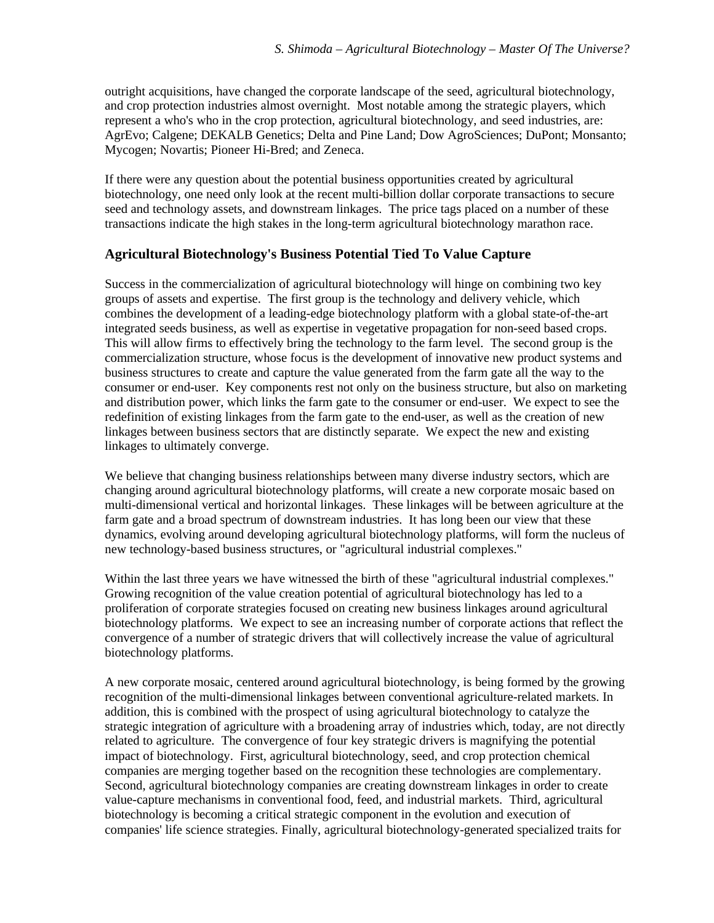outright acquisitions, have changed the corporate landscape of the seed, agricultural biotechnology, and crop protection industries almost overnight. Most notable among the strategic players, which represent a who's who in the crop protection, agricultural biotechnology, and seed industries, are: AgrEvo; Calgene; DEKALB Genetics; Delta and Pine Land; Dow AgroSciences; DuPont; Monsanto; Mycogen; Novartis; Pioneer Hi-Bred; and Zeneca.

If there were any question about the potential business opportunities created by agricultural biotechnology, one need only look at the recent multi-billion dollar corporate transactions to secure seed and technology assets, and downstream linkages. The price tags placed on a number of these transactions indicate the high stakes in the long-term agricultural biotechnology marathon race.

## **Agricultural Biotechnology's Business Potential Tied To Value Capture**

Success in the commercialization of agricultural biotechnology will hinge on combining two key groups of assets and expertise. The first group is the technology and delivery vehicle, which combines the development of a leading-edge biotechnology platform with a global state-of-the-art integrated seeds business, as well as expertise in vegetative propagation for non-seed based crops. This will allow firms to effectively bring the technology to the farm level. The second group is the commercialization structure, whose focus is the development of innovative new product systems and business structures to create and capture the value generated from the farm gate all the way to the consumer or end-user. Key components rest not only on the business structure, but also on marketing and distribution power, which links the farm gate to the consumer or end-user. We expect to see the redefinition of existing linkages from the farm gate to the end-user, as well as the creation of new linkages between business sectors that are distinctly separate. We expect the new and existing linkages to ultimately converge.

We believe that changing business relationships between many diverse industry sectors, which are changing around agricultural biotechnology platforms, will create a new corporate mosaic based on multi-dimensional vertical and horizontal linkages. These linkages will be between agriculture at the farm gate and a broad spectrum of downstream industries. It has long been our view that these dynamics, evolving around developing agricultural biotechnology platforms, will form the nucleus of new technology-based business structures, or "agricultural industrial complexes."

Within the last three years we have witnessed the birth of these "agricultural industrial complexes." Growing recognition of the value creation potential of agricultural biotechnology has led to a proliferation of corporate strategies focused on creating new business linkages around agricultural biotechnology platforms. We expect to see an increasing number of corporate actions that reflect the convergence of a number of strategic drivers that will collectively increase the value of agricultural biotechnology platforms.

A new corporate mosaic, centered around agricultural biotechnology, is being formed by the growing recognition of the multi-dimensional linkages between conventional agriculture-related markets. In addition, this is combined with the prospect of using agricultural biotechnology to catalyze the strategic integration of agriculture with a broadening array of industries which, today, are not directly related to agriculture. The convergence of four key strategic drivers is magnifying the potential impact of biotechnology. First, agricultural biotechnology, seed, and crop protection chemical companies are merging together based on the recognition these technologies are complementary. Second, agricultural biotechnology companies are creating downstream linkages in order to create value-capture mechanisms in conventional food, feed, and industrial markets. Third, agricultural biotechnology is becoming a critical strategic component in the evolution and execution of companies' life science strategies. Finally, agricultural biotechnology-generated specialized traits for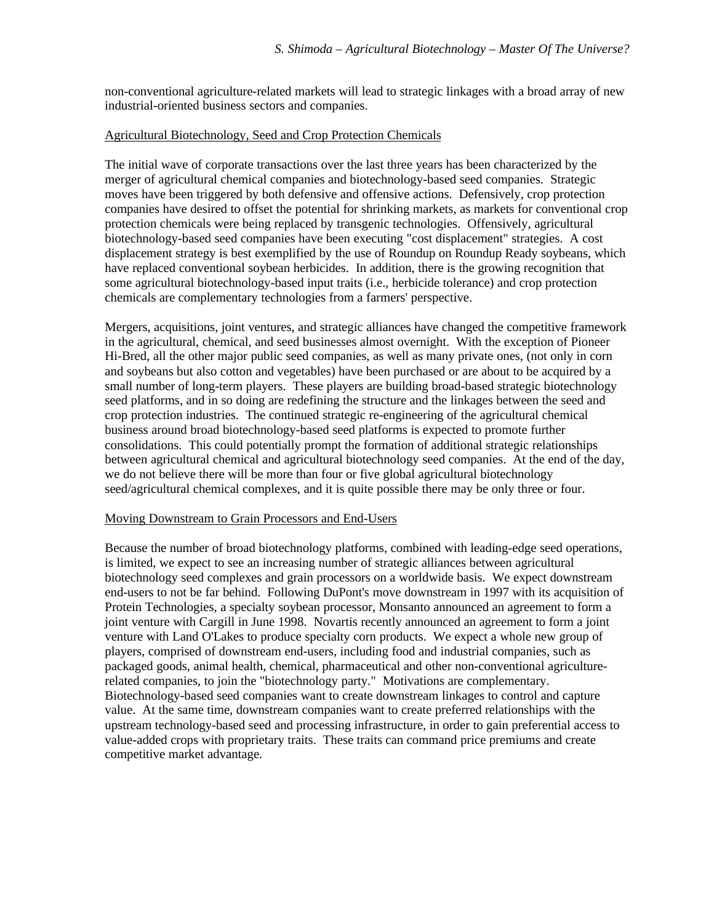non-conventional agriculture-related markets will lead to strategic linkages with a broad array of new industrial-oriented business sectors and companies.

#### Agricultural Biotechnology, Seed and Crop Protection Chemicals

The initial wave of corporate transactions over the last three years has been characterized by the merger of agricultural chemical companies and biotechnology-based seed companies. Strategic moves have been triggered by both defensive and offensive actions. Defensively, crop protection companies have desired to offset the potential for shrinking markets, as markets for conventional crop protection chemicals were being replaced by transgenic technologies. Offensively, agricultural biotechnology-based seed companies have been executing "cost displacement" strategies. A cost displacement strategy is best exemplified by the use of Roundup on Roundup Ready soybeans, which have replaced conventional soybean herbicides. In addition, there is the growing recognition that some agricultural biotechnology-based input traits (i.e., herbicide tolerance) and crop protection chemicals are complementary technologies from a farmers' perspective.

Mergers, acquisitions, joint ventures, and strategic alliances have changed the competitive framework in the agricultural, chemical, and seed businesses almost overnight. With the exception of Pioneer Hi-Bred, all the other major public seed companies, as well as many private ones, (not only in corn and soybeans but also cotton and vegetables) have been purchased or are about to be acquired by a small number of long-term players. These players are building broad-based strategic biotechnology seed platforms, and in so doing are redefining the structure and the linkages between the seed and crop protection industries. The continued strategic re-engineering of the agricultural chemical business around broad biotechnology-based seed platforms is expected to promote further consolidations. This could potentially prompt the formation of additional strategic relationships between agricultural chemical and agricultural biotechnology seed companies. At the end of the day, we do not believe there will be more than four or five global agricultural biotechnology seed/agricultural chemical complexes, and it is quite possible there may be only three or four.

#### Moving Downstream to Grain Processors and End-Users

Because the number of broad biotechnology platforms, combined with leading-edge seed operations, is limited, we expect to see an increasing number of strategic alliances between agricultural biotechnology seed complexes and grain processors on a worldwide basis. We expect downstream end-users to not be far behind. Following DuPont's move downstream in 1997 with its acquisition of Protein Technologies, a specialty soybean processor, Monsanto announced an agreement to form a joint venture with Cargill in June 1998. Novartis recently announced an agreement to form a joint venture with Land O'Lakes to produce specialty corn products. We expect a whole new group of players, comprised of downstream end-users, including food and industrial companies, such as packaged goods, animal health, chemical, pharmaceutical and other non-conventional agriculturerelated companies, to join the "biotechnology party." Motivations are complementary. Biotechnology-based seed companies want to create downstream linkages to control and capture value. At the same time, downstream companies want to create preferred relationships with the upstream technology-based seed and processing infrastructure, in order to gain preferential access to value-added crops with proprietary traits. These traits can command price premiums and create competitive market advantage.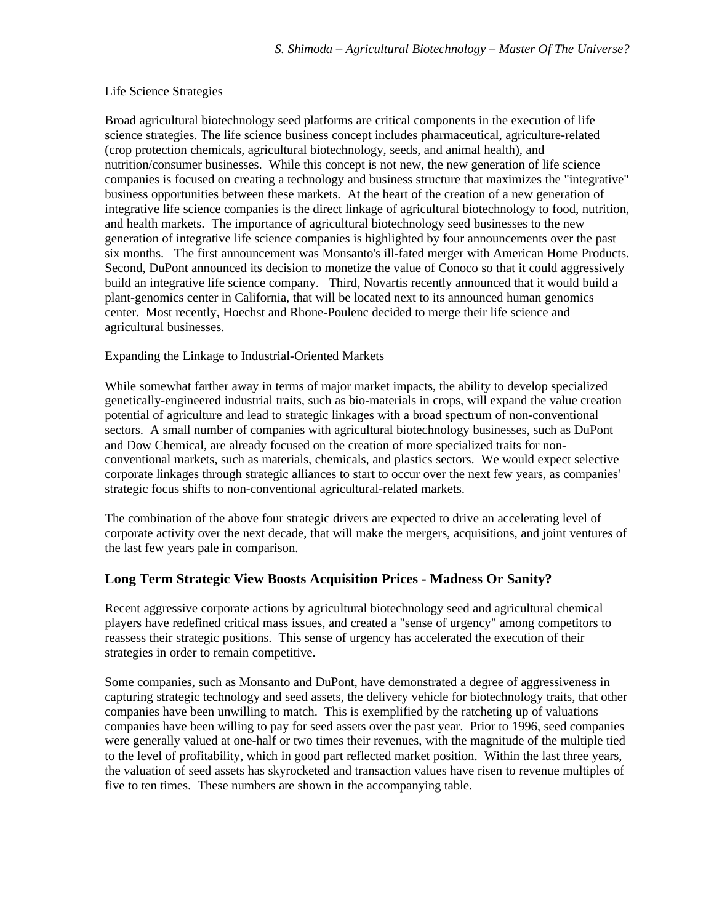#### Life Science Strategies

Broad agricultural biotechnology seed platforms are critical components in the execution of life science strategies. The life science business concept includes pharmaceutical, agriculture-related (crop protection chemicals, agricultural biotechnology, seeds, and animal health), and nutrition/consumer businesses. While this concept is not new, the new generation of life science companies is focused on creating a technology and business structure that maximizes the "integrative" business opportunities between these markets. At the heart of the creation of a new generation of integrative life science companies is the direct linkage of agricultural biotechnology to food, nutrition, and health markets. The importance of agricultural biotechnology seed businesses to the new generation of integrative life science companies is highlighted by four announcements over the past six months. The first announcement was Monsanto's ill-fated merger with American Home Products. Second, DuPont announced its decision to monetize the value of Conoco so that it could aggressively build an integrative life science company. Third, Novartis recently announced that it would build a plant-genomics center in California, that will be located next to its announced human genomics center. Most recently, Hoechst and Rhone-Poulenc decided to merge their life science and agricultural businesses.

### Expanding the Linkage to Industrial-Oriented Markets

While somewhat farther away in terms of major market impacts, the ability to develop specialized genetically-engineered industrial traits, such as bio-materials in crops, will expand the value creation potential of agriculture and lead to strategic linkages with a broad spectrum of non-conventional sectors. A small number of companies with agricultural biotechnology businesses, such as DuPont and Dow Chemical, are already focused on the creation of more specialized traits for nonconventional markets, such as materials, chemicals, and plastics sectors. We would expect selective corporate linkages through strategic alliances to start to occur over the next few years, as companies' strategic focus shifts to non-conventional agricultural-related markets.

The combination of the above four strategic drivers are expected to drive an accelerating level of corporate activity over the next decade, that will make the mergers, acquisitions, and joint ventures of the last few years pale in comparison.

### **Long Term Strategic View Boosts Acquisition Prices - Madness Or Sanity?**

Recent aggressive corporate actions by agricultural biotechnology seed and agricultural chemical players have redefined critical mass issues, and created a "sense of urgency" among competitors to reassess their strategic positions. This sense of urgency has accelerated the execution of their strategies in order to remain competitive.

Some companies, such as Monsanto and DuPont, have demonstrated a degree of aggressiveness in capturing strategic technology and seed assets, the delivery vehicle for biotechnology traits, that other companies have been unwilling to match. This is exemplified by the ratcheting up of valuations companies have been willing to pay for seed assets over the past year. Prior to 1996, seed companies were generally valued at one-half or two times their revenues, with the magnitude of the multiple tied to the level of profitability, which in good part reflected market position. Within the last three years, the valuation of seed assets has skyrocketed and transaction values have risen to revenue multiples of five to ten times. These numbers are shown in the accompanying table.